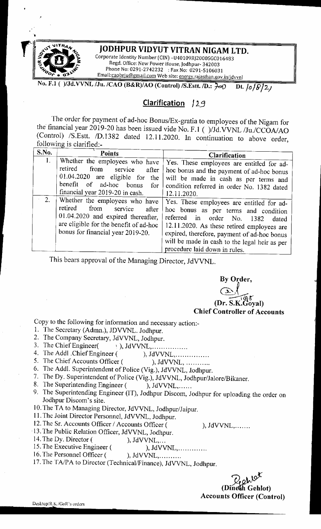

'

## **JODHPUR VIDYUT VITRAN NIGAM LTD.**

Corporate Identity Number (CIN) -U40109RJ2000SGC016483 Regd. Office: New Power House, Jodhpur- 342003 Phone No: 0291-2742232 : Fax No: 0291-5106031 Email:caobrju@gmail.com Web site: energy.rajasthan.gov.in/jdvvnl

**No. F.1 ( )/Jd.VVNL /Ju. /CAO (B&R)/AO (Control) /S.Estt. /D.:**  $\frac{1}{2}$ **eO Dt.**  $\frac{1}{2}$ **/** $\frac{1}{2}$ 

# **Clarification** 129

The order for payment of ad-hoc Bonus/Ex-gratia to employees of the Nigam for the financial year 2019-20 has been issued vide No. F.1 ( )/Jd.VVNL /Ju./CCOA/AO (Control) /S.Estt. /D.1382 dated 12.11.2020. In continuation to above order, following is clarified

| S.No.          | <b>Points</b>                                                                                                                                                                              | Clarification                                                                                                                                                                                                                                                                                           |
|----------------|--------------------------------------------------------------------------------------------------------------------------------------------------------------------------------------------|---------------------------------------------------------------------------------------------------------------------------------------------------------------------------------------------------------------------------------------------------------------------------------------------------------|
| 1 <sub>1</sub> | Whether the employees who have<br>retired<br>from<br>service<br>after<br>$01.04.2020$ are eligible for the<br>benefit of ad-hoc bonus<br>for<br>financial year 2019-20 in cash.            | Yes. These employees are entitled for ad-<br>hoc bonus and the payment of ad-hoc bonus<br>will be made in cash as per terms and<br>condition referred in order No. 1382 dated<br>12.11.2020.                                                                                                            |
| 2.             | Whether the employees who have<br>retired<br>from<br>service<br>after<br>01.04.2020 and expired thereafter,<br>are eligible for the benefit of ad-hoc<br>bonus for financial year 2019-20. | Yes. These employees are entitled for ad-<br>hoc bonus as per terms and condition<br>referred in order No. 1382<br>dated<br>12.11.2020. As these retired employees are<br>expired, therefore, payment of ad-hoc bonus<br>will be made in cash to the legal heir as per<br>procedure laid down in rules. |

This bears approval of the Managing Director, JdVVNL.

 $By$  Order,<br>  $\frac{1}{\sqrt{2}}$ Goyal) **Chief Controller of Accounts** 

~---------

Copy to the following for information and necessary action:-

- !. The Secretary (Admn.), JDVVNL. Jodhpur.
- 
- 2. The Company Secretary, JdVVNL, Jodhpur.<br>3. The Chief Engineer( ), JdVVNL,......  $\setminus$  ), JdVVNL, ... ... ... ... ...
- 4. The Addl .Chief Engineer ( ), JdVVNL, ... ... ... ........
- 5. The Chief Accounts Officer ( ), JdVVNL, ...........
- 6. The Addi. Superintendent of Police (Vig.), JdVVNL, Jodhpur.
- 7. The Dy. Superintendent of Police (Vig.), JdVVNL, Jodhpur/Jalore/Bikaner.
- 8. The Superintending Engineer ( ), JdVVNL,......
- 9. The Superintending Engineer (IT), Jodhpur Discom, Jodhpur for uploading the order on Jodhpur Discom's site.
- 10. The TA to Managing Director, JdVVNL, Jodhpur/Jaipur.
- 11. The Joint Director Personnel, JdVVNL, Jodhpur.
- 12. The Sr. Accounts Officer / Accounts Officer ( ), JdVVNL,.......
- · 13. The Public Relation Officer, JdVVNL, Jodhpur.
- 14. The Dy. Director ( ), JdVVNL,...
- 15. The Executive Engineer ( ), JdVVNL, ... ... ... ...
- 16. The Personnel Officer ( ), JdVVNL, ... ... ...
- 17. The TA/PA to Director (Technical/Finance), JdVVNL, Jodhpur.

(Dinesh Gehlot) **Accounts Officer (Control)**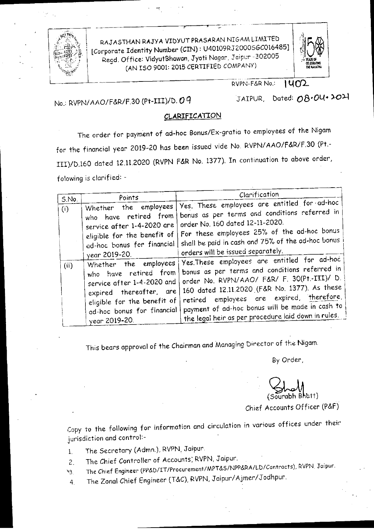

*;f'fi!f)'; \* RAJ AS THAN RAJYA VIDYUT PRASARAN NIGAM LIMITED **:']~o®**  [Corporate Identity Number (CIN): U40109RJ2000SGC016485] ,. ··,;t: *\_i* Regd. Office: V1dyutBhawan, Jyoti Nagor, *J* c.pur -302005 : 1i ,--.\_; -~· I ....**-**. **.,lW5~**  I \,:~;~[ \ --- (AN ISO 9001: 2015 CERTIFIED COMPANY) · ~~



RVPN-F&R No.: **l L(Q'2..** 

# No.: RVPN/ AAO/F&R/F.30 (Pt-III)/D. *0 <sup>q</sup>*

JAIPUR, Dated: 08.04.2021

#### **CLARIFICATION**

The order for payment of ad-hoc Bonus/Ex-gratia to employees of the Nigam for the financial year 2019-20 has been issued vide No. RVPN/ AAO/F&R/F.30 (Pt.- III)/D.160 dated 12.11.2020 (RVPN F&R No. 1377). In continuation to above order, folowing is clarified: -

|                      | Points                                                                                                                                                                                                                                                                                                                                              | Clarification                                                                                                                                                                                                                                                                                                                                                                                                                                                                                                                                                                                                                        |
|----------------------|-----------------------------------------------------------------------------------------------------------------------------------------------------------------------------------------------------------------------------------------------------------------------------------------------------------------------------------------------------|--------------------------------------------------------------------------------------------------------------------------------------------------------------------------------------------------------------------------------------------------------------------------------------------------------------------------------------------------------------------------------------------------------------------------------------------------------------------------------------------------------------------------------------------------------------------------------------------------------------------------------------|
| S.No.<br>(i)<br>(ii) | Whether the employees<br>who have retired from<br>service after 1-4-2020 are<br>eligible for the benefit of<br>ad-noc bonus for financial<br>year 2019-20.<br>Whether the employees<br>who have retired from<br>service after 1-4-2020 and<br>expired thereafter, are<br>eligible for the benefit of<br>ad-hoc bonus for financial<br>year 2019-20. | Yes. These employees are entitled for ad-hoc<br>bonus as per terms and conditions referred in<br>order No. 160 dated 12-11-2020.<br>For these employees 25% of the ad-hoc bonus<br>shall be paid in cash and 75% of the ad-hoc bonus<br>orders will be issued separately.<br>Yes. These employees are entitled for ad-hoc<br>bonus as per terms and conditions referred in<br>order No. RVPN/AAO/ F&R/ F. 30(Pt.-III)/ D.<br>160 dated 12.11.2020 (F&R No. 1377). As these<br>employees are expired, therefore,<br>retired<br>payment of ad-hoc bonus will be made in cash to<br>the legal heir as per procedure laid down in rules. |

This bears approval of the Chairman and Managing Director of the Nigam.

By Order,

By Order,<br>
(Sourabh Bhatt)<br>
Chief Accounts Officer (P&F)

-

Copy to the following for information and circulation in various offices under their jurisdiction and control:-

- 1. The Secretary (Admn.), RVPN, Jaipur.
- 2. The Chief Controller of Accounts: RVPN, Jaipur.
- ,,3\_ The Chief Engineer (PP&D/IT/Procurement/MPT&S/NPP&RA/LD/Contracts). RVPN, Jaipur.
- 4. The Zonal Chief Engineer (T &C), RVPN, Jaipur/ Ajmer/ Jodhpur.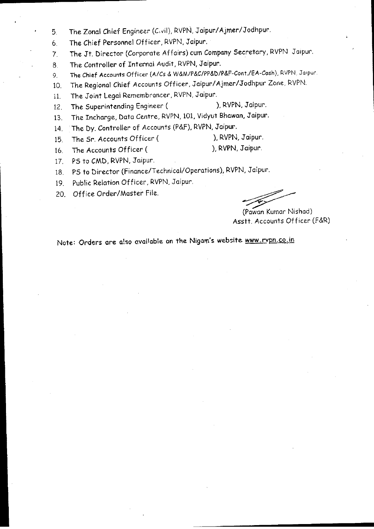- 5. The Zonal Chief Engineer (C.vil), RVPN, Jaipur/ Ajmer/Jodhpur.
- 6. The Chief Personnel Officer, RVPN, Jaipur.
- 7. The Jt. Director (Corporate Affairs) cum Company Secretary, RVPN. Jaipur.
- 8. The Controller of Internal Audit, RVPN, Jaipur.
- 9. The Chief Accounts Officer (A/Cs & W&M/P&C/PP&D/P&F-Cont./EA-Cosh), RVPN, Jaipur
- 10. The Regional Chief Accounts Officer, Jaipur/Ajmer/Jodhpur Zone, RVPN
- 11. The Joint Legal Remembrancer, RVPN, Jaipur.
- 12. The Superintending Engineer (
12. The Superintending Engineer (
12. The Superintending Engineer (
- 13. The Incharge, Data Centre, RVPN, 101, Vidyut Bhawan, Jaipur.
- 14. The Dy. Controller of Accounts (P&F), RVPN, Jaipur.
- 15. The Sr. Accounts Officer (
- 
- 16. The Accounts Officer (
16. The Accounts Officer (
16. The Accounts Officer (
16. The Accounts Officer (
16. The Accounts Officer (
16. The Accounts Officer (
16. The Accounts Officer (
16. The Accounts Officer (
16. Th
	-

- 17. PS to CMD, RVPN, Jaipur.
- 18. PS to Director (Finance/Technical/Operations), RVPN, Jaipur.
- 19. Public Relation Officer, RVPN. Jaipur.
- ZO. Office Order/Master File.

Jaipur.<br>I, Jaipur.<br>(Pawan Kumar Nishad)<br>stt. Accounts Officer (F&R) (Pawan Kumar Nishad) Asstt. Accounts Officer (F&R)

Note: Orders are also available on the Nigam's website www.rvpn.co.in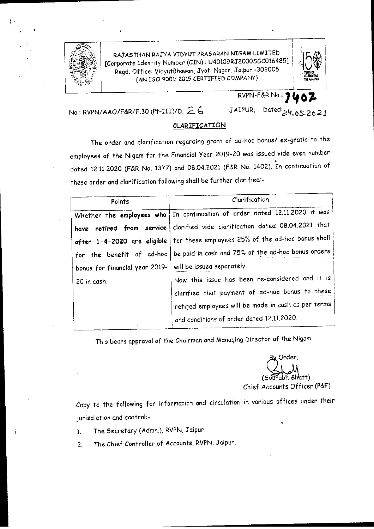

I•

RAJ AS THAN RAJYA VIDYUT PRASARAN NIGAM LIMITED [Corporate Identity Number (CIN) : U40109RJ2000SGC016485] Regd. Office: VidyutBhawan, Jyoti Nager, Jaipur -302005 **(AN** ISO 9001: 2015 CERTIFIED COMPANY)



RVPN-F&R No.: **10** 

No.: RVPN/AAO/F&R/F.30 (Pt-III)/D. 2. **6**  JAIPUR, Dated: $24.05.2021$ 

### **CLARIFICATION**

The order and clarification regarding grant of ad-hoc bonus/ ex-gratia to the employees of the Nigam for the Financial Year 2019-20 was issued vide even number • dated 12.11.2020 (F&R No. 1377) and 08.04.2021 (F&R No. 1402). In continuation of these order and clarification following shall be further clarified:-

| Points                                                    | Clarification                                                                   |  |
|-----------------------------------------------------------|---------------------------------------------------------------------------------|--|
|                                                           | Whether the employees who   In continuation of order dated 12.11.2020 it was    |  |
|                                                           | have retired from service clarified vide clarification dated 08.04.2021 that    |  |
|                                                           | after 1-4-2020 are eligible   for these employees 25% of the ad-hoc bonus shall |  |
|                                                           | for the benefit of ad-hoc   be paid in cash and 75% of the ad-hoc bonus orders  |  |
| bonus for financial year 2019- will be issued separately. |                                                                                 |  |
| 20 in cash.                                               | Now this issue has been re-considered and it is                                 |  |
|                                                           | clarified that payment of ad-hoe bonus to these                                 |  |
|                                                           | retired employees will be made in cash as per terms                             |  |
|                                                           | and conditions of order dated 12.11.2020.                                       |  |

This bears approval of the Chairman and Managing Director of +he Nigam.

(Sourabh Bhatt) Chief Accounts Officer (P&F)

Copy to the following for informatich and circulation in various offices under their jurisdiction and control:-

- !. The Secretary (Admn.), RVPN, Jaipur.
- 2. The Chief Controller of Accounts, RVPN, Jaipur.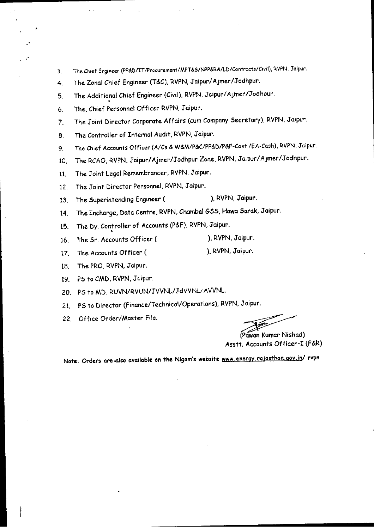- 3. The Chief Engineer (PP&D/IT/Procurement/MPT&S/NPP&RA/LD/Controcts/Civil), RVPN, Jaipur.
- 4. The Zonal Chief Engineer (T&C), RVPN, Jaipur/Ajmer/Jodhpur.
- 5. The Additional Chief Engineer (Civil), RVPN, Jaipur/Ajmer/Jodhpur.
- 6. The, Chief Personnel Officer RVPN, Jaipur.
- 7. The Joint Director Corporate Affairs (cum Company Secretary), RVPN, Jaipc".
- 8. The Controller of Internal Audit, RVPN, Jaipur.
- 9. The Chief Accounts Officer (A/Cs & W&M/P&C/PP&D/P&f-Cont./EA-Cash), RVPN, Jaipur.
- 10. The RCAO, RVPN, Jaipur/Ajmer/Jodhpur Zone, RVPN, Jaipur/Ajmer/Jodhpur.
- 11. The Joint Legal Remembrancer, RVPN, Jaipur.
- 12. The Joint Director Personnel, RVPN, Jaipur.
- 13. The Superintending Engineer (
), RVPN, Jaipur.
- 14. The Incharge, Data Centre, RVPN, Chambal GSS, Hawa Sarak, Jaipur.
- 15. The Dy. Controller of Accounts (P&F), RVPN, Jaipur.
- 16. The Sr. Accounts Officer ( ). RVPN, Jaipur.
- 17. The Accounts Officer ( ). RVPN, Jaipur.
- 18. The PRO, RVPN, Jaipur.
- 19. PS to CMD, RVPN, Juipur.
- 20. PS to MD, RUVN/RVUN/JVVNL/JdVVNL;AVVNL.
- 21. PS to Director (finance/Technical/Operations), RVPN, Jaipur.
- 22. Office Order/Master File.

( Jaipur.<br>Pawan Kumar Nishad)<br>. Accounts Officer-I (F&R) Asstt. Accounts Officer-I (F&R)

Note: Orders are.also available on the Nigam's **website** www.eneray.rajasthan.gov.in/ rvpn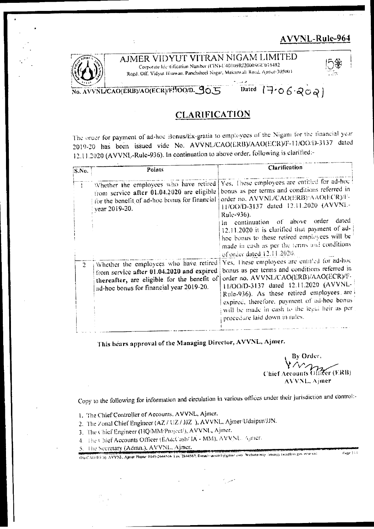## AVVNL-Rule-964



AJMER VIDYUT VITRAN NIGAM LIMITED

Corporate Identification Number (CIN)-U40109RJ2000SGC016482 Regd, Off. Vidyut Bluwan, Panchsheel Nagar, Makarwali Road, Apner-305004



#### Dated  $1706800$ NL/CAO(ERB)/AO(ECR)/F!/OO/D. 90.

## **CLARIFICATION**

The order for payment of ad-hoc Bonus/Ex-gratia to employees of the Nigam for the tinancial year 2019-20 has been issued vide No. AVVNL/CAO(ERB)/AAO(ECR)/F-11/OO/13-3137 dated 12.11.2020 (AVVNL-Rule-936). In continuation to above order, following is clarified:-

| <b>S.No.</b> | Points                                                                                                                                                                         | <b>Clarification</b>                                                                                                                                                                                                                                                                                                                                                                                                       |
|--------------|--------------------------------------------------------------------------------------------------------------------------------------------------------------------------------|----------------------------------------------------------------------------------------------------------------------------------------------------------------------------------------------------------------------------------------------------------------------------------------------------------------------------------------------------------------------------------------------------------------------------|
|              | Whether the employees who have retired<br>from service after 01.04.2020 are eligible<br>for the benefit of ad-hoc bonus for financial<br>vear 2019-20.                         | Yes. These employees are entitled for ad-hoc<br>bonus as per terms and conditions referred in<br>order no. AVVNL/CAO(ERB)/AAO(ECR)/F-<br>H/OO/D-3137 dated 12.11.2020 (AVVNL-<br>Rule-936).<br>dated<br>continuation of above order<br>ln.<br>12.11.2020 it is clarified that payment of ad-<br>hoc bonus to these retired employees will be<br>made in eash as per the terms and conditions<br>of order dated 12.11.2020. |
| $2^{\circ}$  | Whether the employees who have retired<br>from service after 01.04.2020 and expired<br>thereafter, are eligible for the benefit of<br>ad-hoc bonus for financial year 2019-20. | Yes, These employees are entitled for ad-hoc<br>bonus as per terms and conditions referred in<br>order no. AVVNL/CAO(ERB)/AAO(ECR)/F-<br>H/OO/D-3137 dated 12.11.2020 (AVVNL-<br>Rule-936). As these retired employees are<br>expired, therefore, payment of ad-hoc bonus<br>will be made in eash to the legal heir as per<br>procedure laid down in rules.                                                                |

This bears approval of the Managing Director, AVVNL, Ajmer.

By Order Fer (F.RB) **Chief Accounts Of** AVVNL, Ajmer

Pape 114

Copy to the following for information and circulation in various offices under their jurisdiction and control:-

- 1. The Chief Controller of Accounts, AVVNL, Ajmer.
- 2. The Zonal Chief Engineer (AZ / UZ / JJZ ), AVVNL, Ajmer/IJdaipur/JJN.
- 3. The Chief Engineer (HQ/MM/Project/), AVVNL, Ajmer.
- 4. The Chief Accounts Officer (EA&Cash/IA MM), AVVNL. Agmer.
- 5. The Secretary (Admn.), AVVNL, Ajmer,

On CAO (E8.3), AVVNL; Ajmer Phone: 0145-2644516, Fax 2644537, Bonad-saccer biograms com Wedestroling Jensity, ransmon gov into val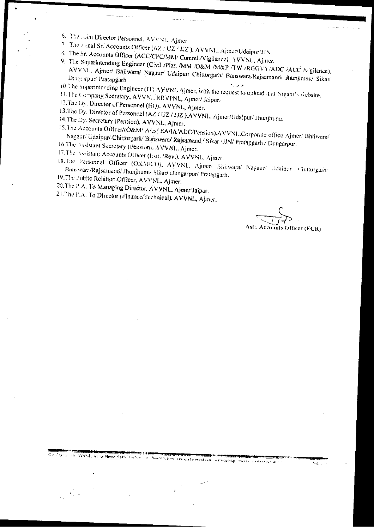- 6. The solar Director Personnel, AVVNL Ajmer.
- 
- 7. The Zonal Sr. Accounts Officer (AZ / UZ / JJZ ), AVVNL, Ajmer/Udaipur/JJN.
- 8. The Sr. Accounts Officer (ACC/CPC/MM/ Comml./Vigilance), AVVNL, Ajmer. 9. The Superintending Engineer (Civil /Plan /MM /O&M /M&P /TW /RGGVY/ADC /ACC /vigilance), AVVNI., Ajmer/ Bhilwara/ Nagaur/ Udaipun/ Chittorgarh/ Banswara/Rajsamand/ Jhunjhunu/ Sikar/
- 10.The Superintending Engineer (IT) A VVNL Ajmer, with the request to upload it at Nigam's website.
- 11. The Company Secretary, AVVNL/RRVPNL, Ajmer/Jaipur.
- 12. The Dy. Director of Personnel (HQ), AVVNL, Ajmer.
- 13.The Dy: Director of Personnel (AZ / UZ / JJZ ), AVVNL, Ajmer/Udaipur/ Jhunjhunu.
- 14.The Dy. Secretary (Pension), AVVNL, Ajmer,
- 15.The Accounts Officer/(O&M/ A/cs/ EA/IA/ADC/Pension), AVVNL.Corporate office Ajmer/ Bhilwara/ Nagaur/ Udaipur/ Chittorgarh/ Banswara/ Rajsamand / Sikar /JJN/ Pratapgarh / Dungarpur. 16.The Assistant Secretary (Pension), AVVNL, Ajmer.
- 
- 17.The Assistant Accounts Officer (Estt, /Rev.), AVVNL, Ajmer.
- 18.The Personnel Officer (O&M/CO), AVVNL. Ajmer/ Bhiiwara/ Nagaur/ Udaipur Cintorgarh/ Banswara/Rajsamand/ Jhunjhunu/ Sikar/ Dungarpur/ Pratapgarh, 19. The Public Relation Officer, AVVNL, Ajmer.
- 
- 20.The P.A. To Managing Director, AVVNL, Ajmer Jaipur,
- 21. The P.A. To Director (Finance/Technical), AVVNL, Ajmer.

**Accounts Officer (ECR)**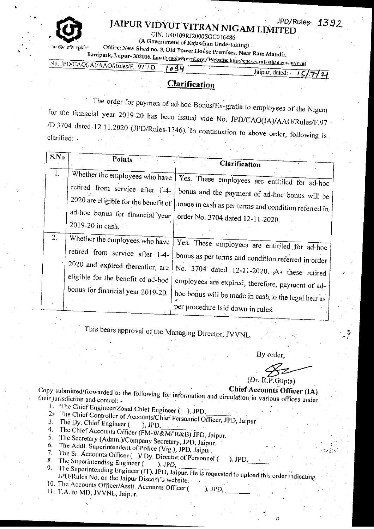

•

'

# JPD/Rules- ® **JAIPUR VIDYUT VITRAN NIGAM LIMITED**

CIN: U40109RJ2000SGC016486

• (A Government of Rajasthan Undertaking) .

Office: New Shed no. 3, Old Power House Premises, Near Ram Mandir,

B.1nipark, Jaipur- 302006. Email: caofa@jvvnl.\_org /Website: htlp://em•rg, 1 .rajllsth:111.go,1,iu/j\•nil No, .IPD/CAO(IA)/AAO/lfoles/F. 97 *ID. og4* 

 $J$ aipur, dated:  $\frac{I}{I}$ :// $\frac{I}{I}$ 

*1392.* 

## **Clarification**

The order for paymen of ad-hoc Bonus/Ex-gratia to employees of the Nigam for the financial year 2019-20 has been issued vide No. JPD/CAO(IA)/AAO/Rules/F.97  $\sim$  5704 dated 12.11.2020 (JPD/Rules-1346). In continuation to above order, following is clarified: -

| S.No | <b>Points</b>                                                                                                                                                                    |                                                                                                                                                                                                                                                                                                    |  |
|------|----------------------------------------------------------------------------------------------------------------------------------------------------------------------------------|----------------------------------------------------------------------------------------------------------------------------------------------------------------------------------------------------------------------------------------------------------------------------------------------------|--|
|      |                                                                                                                                                                                  | Clarification                                                                                                                                                                                                                                                                                      |  |
| 1.   | Whether the employees who have<br>retired from service after 1-4-.<br>2020 are eligible for the benefit of<br>ad-hoc bonus for financial year<br>2019-20 in eash.                | Yes. These employees are entitiled for ad-hoc<br>bonus and the payment of ad-hoc bonus will be<br>made in cash as per terms and condition referred in<br>order No. 3704 dated 12-11-2020.                                                                                                          |  |
| 2.   | Whether the employees who have<br>retired from service after 1-4-<br>2020 and expired thereafter, are<br>eligible for the benefit of ad-hoc<br>bonus for financial year 2019-20. | Yes. These employees are entitiled for ad-hoc<br>bonus as per terms and condition referred in order<br>No. 3704 dated 12-11-2020. As these retired<br>employees are expired, therefore, payment of ad-<br>hoc bonus will be made in cash to the legal heir as<br>per procedure laid down in rules. |  |

This bears approval of the Managing Director, JVVNL. •

By order,

(Dr. R .P.Gupta) order,<br>order,<br>P.Gupta)<br>unts Officer (IA)

 $\cdot$   $^{\frac{7}{3}}$  $\mathcal{F}_\mathcal{F}$ 

## **Chief Accounts Officer (IA)**

Copy submitted/forwarded to the following for information and circulation in various offices under their jurisdiction and control: -

- 
- I. The Chief Engineer/Zonal Chief Engineer ( ), JPD, 2. The Chief Controller of Accounts/Chief Personnel Of 3. The Dy. Chief Engineer ( ), JPD. 2. The Chief Controller of Accounts/Chief Personnel Officer, JPD, Jaipur 3. The Dy. Chief Engineer  $($ ), JPD,
- 
- 4. The Dy. Chief Engineer ( $\rightarrow$ ), JPD,<br>4. The Chief Accounts Officer (FM-W&M/ R&B) JPD, Jaipur.<br>5. The Secretary (Admn)/Compaign
- 5. The Secretary (Admn.)/Company Secretary, JPD, Jaipur.
- The Addl. Superintendent of Police (Vig.), JPD, Jaipur.
- 7. The Sr. Accounts Officer ( $\rightarrow$ ) Dy. Director of Personnel ( $\rightarrow$ ), JPD,
- 
- 9. The Superintending Engineer ( $\mu$ ,  $\nu$ y, Duccantor Fersonner ( $\mu$ ,  $\mu$  $\nu$ ,  $\mu$ ,  $\nu$ ,  $\mu$ ,  $\nu$ ).<br>9. The Superintending Engineer (IT), JPD, Jaipur. He is requested to upload this order indicating JPD/Rules No. on the Jaipur Discom's website. 10. The Accounts Officer/Asstt. Accounts Officer  $($ ), JPD,
- 11. T.A. to MD, JVVNL, Jaipur.
-